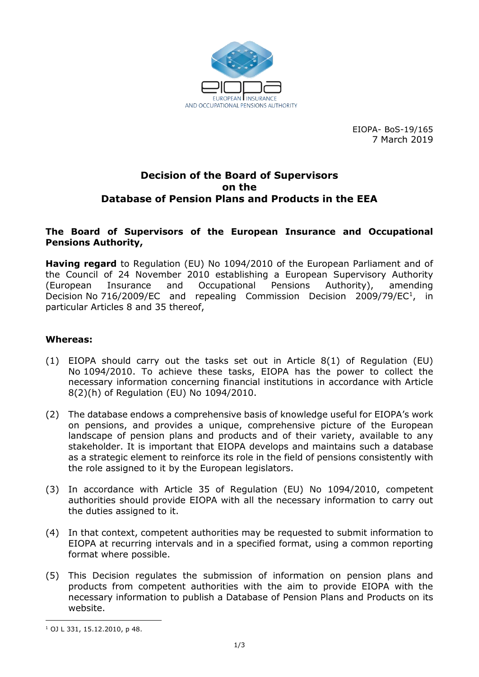

EIOPA- BoS-19/165 7 March 2019

## **Decision of the Board of Supervisors on the Database of Pension Plans and Products in the EEA**

#### **The Board of Supervisors of the European Insurance and Occupational Pensions Authority,**

**Having regard** to Regulation (EU) No 1094/2010 of the European Parliament and of the Council of 24 November 2010 establishing a European Supervisory Authority (European Insurance and Occupational Pensions Authority), amending Decision No 716/2009/EC and repealing Commission Decision 2009/79/EC<sup>1</sup>, in particular Articles 8 and 35 thereof,

#### **Whereas:**

- (1) EIOPA should carry out the tasks set out in Article 8(1) of Regulation (EU) No 1094/2010. To achieve these tasks, EIOPA has the power to collect the necessary information concerning financial institutions in accordance with Article 8(2)(h) of Regulation (EU) No 1094/2010.
- (2) The database endows a comprehensive basis of knowledge useful for EIOPA's work on pensions, and provides a unique, comprehensive picture of the European landscape of pension plans and products and of their variety, available to any stakeholder. It is important that EIOPA develops and maintains such a database as a strategic element to reinforce its role in the field of pensions consistently with the role assigned to it by the European legislators.
- (3) In accordance with Article 35 of Regulation (EU) No 1094/2010, competent authorities should provide EIOPA with all the necessary information to carry out the duties assigned to it.
- (4) In that context, competent authorities may be requested to submit information to EIOPA at recurring intervals and in a specified format, using a common reporting format where possible.
- (5) This Decision regulates the submission of information on pension plans and products from competent authorities with the aim to provide EIOPA with the necessary information to publish a Database of Pension Plans and Products on its website.

<sup>1</sup> <sup>1</sup> OJ L 331, 15.12.2010, p 48.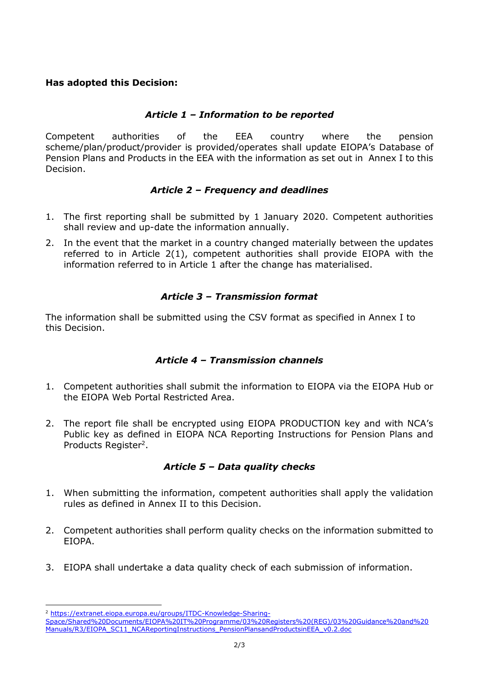# **Has adopted this Decision:**

# *Article 1 – Information to be reported*

Competent authorities of the EEA country where the pension scheme/plan/product/provider is provided/operates shall update EIOPA's Database of Pension Plans and Products in the EEA with the information as set out in Annex I to this Decision.

# *Article 2 – Frequency and deadlines*

- 1. The first reporting shall be submitted by 1 January 2020. Competent authorities shall review and up-date the information annually.
- 2. In the event that the market in a country changed materially between the updates referred to in Article 2(1), competent authorities shall provide EIOPA with the information referred to in Article 1 after the change has materialised.

# *Article 3 – Transmission format*

The information shall be submitted using the CSV format as specified in Annex I to this Decision.

# *Article 4 – Transmission channels*

- 1. Competent authorities shall submit the information to EIOPA via the EIOPA Hub or the EIOPA Web Portal Restricted Area.
- 2. The report file shall be encrypted using EIOPA PRODUCTION key and with NCA's Public key as defined in EIOPA NCA Reporting Instructions for Pension Plans and Products Register<sup>2</sup>.

# *Article 5 – Data quality checks*

- 1. When submitting the information, competent authorities shall apply the validation rules as defined in Annex II to this Decision.
- 2. Competent authorities shall perform quality checks on the information submitted to EIOPA.
- 3. EIOPA shall undertake a data quality check of each submission of information.

1

<sup>2</sup> [https://extranet.eiopa.europa.eu/groups/ITDC-Knowledge-Sharing-](https://extranet.eiopa.europa.eu/groups/ITDC-Knowledge-Sharing-Space/Shared%20Documents/EIOPA%20IT%20Programme/03%20Registers%20(REG)/03%20Guidance%20and%20Manuals/R3/EIOPA_SC11_NCAReportingInstructions_PensionPlansandProductsinEEA_v0.2.doc)

[Space/Shared%20Documents/EIOPA%20IT%20Programme/03%20Registers%20\(REG\)/03%20Guidance%20and%20](https://extranet.eiopa.europa.eu/groups/ITDC-Knowledge-Sharing-Space/Shared%20Documents/EIOPA%20IT%20Programme/03%20Registers%20(REG)/03%20Guidance%20and%20Manuals/R3/EIOPA_SC11_NCAReportingInstructions_PensionPlansandProductsinEEA_v0.2.doc) [Manuals/R3/EIOPA\\_SC11\\_NCAReportingInstructions\\_PensionPlansandProductsinEEA\\_v0.2.doc](https://extranet.eiopa.europa.eu/groups/ITDC-Knowledge-Sharing-Space/Shared%20Documents/EIOPA%20IT%20Programme/03%20Registers%20(REG)/03%20Guidance%20and%20Manuals/R3/EIOPA_SC11_NCAReportingInstructions_PensionPlansandProductsinEEA_v0.2.doc)